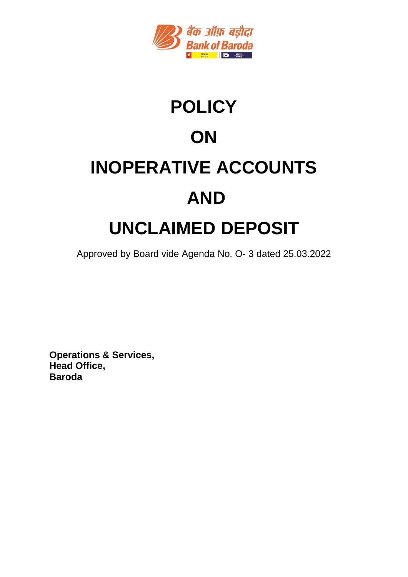

# **POLICY ON INOPERATIVE ACCOUNTS AND UNCLAIMED DEPOSIT**

Approved by Board vide Agenda No. O- 3 dated 25.03.2022

**Operations & Services, Head Office, Baroda**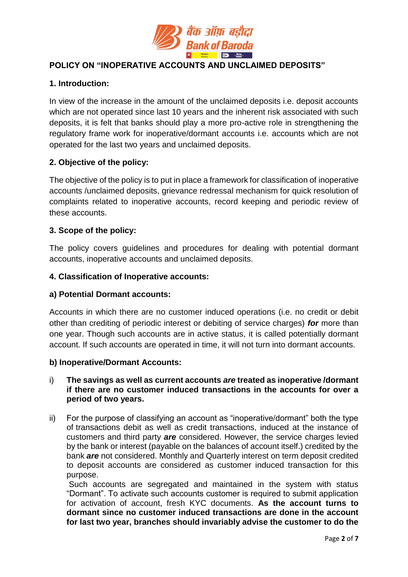

## **POLICY ON "INOPERATIVE ACCOUNTS AND UNCLAIMED DEPOSITS"**

## **1. Introduction:**

In view of the increase in the amount of the unclaimed deposits i.e. deposit accounts which are not operated since last 10 years and the inherent risk associated with such deposits, it is felt that banks should play a more pro-active role in strengthening the regulatory frame work for inoperative/dormant accounts i.e. accounts which are not operated for the last two years and unclaimed deposits.

## **2. Objective of the policy:**

The objective of the policy is to put in place a framework for classification of inoperative accounts /unclaimed deposits, grievance redressal mechanism for quick resolution of complaints related to inoperative accounts, record keeping and periodic review of these accounts.

#### **3. Scope of the policy:**

The policy covers guidelines and procedures for dealing with potential dormant accounts, inoperative accounts and unclaimed deposits.

#### **4. Classification of Inoperative accounts:**

#### **a) Potential Dormant accounts:**

Accounts in which there are no customer induced operations (i.e. no credit or debit other than crediting of periodic interest or debiting of service charges) *for* more than one year. Though such accounts are in active status, it is called potentially dormant account. If such accounts are operated in time, it will not turn into dormant accounts.

#### **b) Inoperative/Dormant Accounts:**

#### i) **The savings as well as current accounts** *are* **treated as inoperative /dormant if there are no customer induced transactions in the accounts for over a period of two years.**

ii) For the purpose of classifying an account as "inoperative/dormant" both the type of transactions debit as well as credit transactions, induced at the instance of customers and third party *are* considered. However, the service charges levied by the bank or interest (payable on the balances of account itself.) credited by the bank *are* not considered. Monthly and Quarterly interest on term deposit credited to deposit accounts are considered as customer induced transaction for this purpose.

Such accounts are segregated and maintained in the system with status "Dormant". To activate such accounts customer is required to submit application for activation of account, fresh KYC documents. **As the account turns to dormant since no customer induced transactions are done in the account for last two year, branches should invariably advise the customer to do the**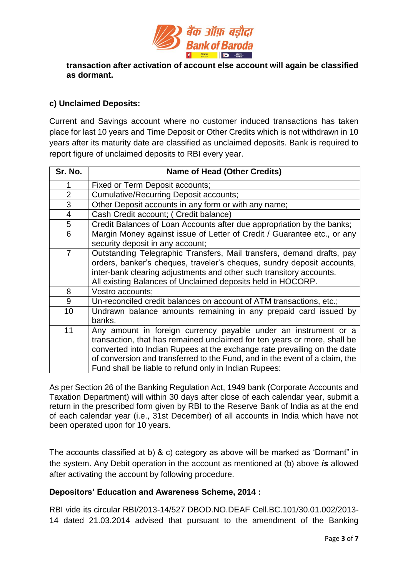

**transaction after activation of account else account will again be classified as dormant.**

## **c) Unclaimed Deposits:**

Current and Savings account where no customer induced transactions has taken place for last 10 years and Time Deposit or Other Credits which is not withdrawn in 10 years after its maturity date are classified as unclaimed deposits. Bank is required to report figure of unclaimed deposits to RBI every year.

| Sr. No.        | <b>Name of Head (Other Credits)</b>                                                                                                                                                                                                                                                                                                                             |
|----------------|-----------------------------------------------------------------------------------------------------------------------------------------------------------------------------------------------------------------------------------------------------------------------------------------------------------------------------------------------------------------|
| 1              | Fixed or Term Deposit accounts;                                                                                                                                                                                                                                                                                                                                 |
| $\overline{2}$ | <b>Cumulative/Recurring Deposit accounts;</b>                                                                                                                                                                                                                                                                                                                   |
| 3              | Other Deposit accounts in any form or with any name;                                                                                                                                                                                                                                                                                                            |
| $\overline{4}$ | Cash Credit account; ( Credit balance)                                                                                                                                                                                                                                                                                                                          |
| 5              | Credit Balances of Loan Accounts after due appropriation by the banks;                                                                                                                                                                                                                                                                                          |
| 6              | Margin Money against issue of Letter of Credit / Guarantee etc., or any<br>security deposit in any account;                                                                                                                                                                                                                                                     |
| $\overline{7}$ | Outstanding Telegraphic Transfers, Mail transfers, demand drafts, pay<br>orders, banker's cheques, traveler's cheques, sundry deposit accounts,<br>inter-bank clearing adjustments and other such transitory accounts.<br>All existing Balances of Unclaimed deposits held in HOCORP.                                                                           |
| 8              | Vostro accounts;                                                                                                                                                                                                                                                                                                                                                |
| 9              | Un-reconciled credit balances on account of ATM transactions, etc.;                                                                                                                                                                                                                                                                                             |
| 10             | Undrawn balance amounts remaining in any prepaid card issued by<br>banks.                                                                                                                                                                                                                                                                                       |
| 11             | Any amount in foreign currency payable under an instrument or a<br>transaction, that has remained unclaimed for ten years or more, shall be<br>converted into Indian Rupees at the exchange rate prevailing on the date<br>of conversion and transferred to the Fund, and in the event of a claim, the<br>Fund shall be liable to refund only in Indian Rupees: |

As per Section 26 of the Banking Regulation Act, 1949 bank (Corporate Accounts and Taxation Department) will within 30 days after close of each calendar year, submit a return in the prescribed form given by RBI to the Reserve Bank of India as at the end of each calendar year (i.e., 31st December) of all accounts in India which have not been operated upon for 10 years.

The accounts classified at b) & c) category as above will be marked as 'Dormant" in the system. Any Debit operation in the account as mentioned at (b) above *is* allowed after activating the account by following procedure.

#### **Depositors' Education and Awareness Scheme, 2014 :**

RBI vide its circular RBI/2013-14/527 DBOD.NO.DEAF Cell.BC.101/30.01.002/2013- 14 dated 21.03.2014 advised that pursuant to the amendment of the Banking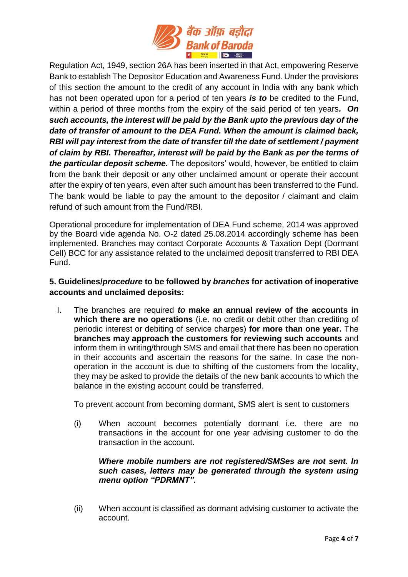

Regulation Act, 1949, section 26A has been inserted in that Act, empowering Reserve Bank to establish The Depositor Education and Awareness Fund. Under the provisions of this section the amount to the credit of any account in India with any bank which has not been operated upon for a period of ten years *is to* be credited to the Fund, within a period of three months from the expiry of the said period of ten years*. On such accounts, the interest will be paid by the Bank upto the previous day of the date of transfer of amount to the DEA Fund. When the amount is claimed back, RBI will pay interest from the date of transfer till the date of settlement / payment of claim by RBI. Thereafter, interest will be paid by the Bank as per the terms of the particular deposit scheme.* The depositors' would, however, be entitled to claim from the bank their deposit or any other unclaimed amount or operate their account after the expiry of ten years, even after such amount has been transferred to the Fund. The bank would be liable to pay the amount to the depositor / claimant and claim refund of such amount from the Fund/RBI.

Operational procedure for implementation of DEA Fund scheme, 2014 was approved by the Board vide agenda No. O-2 dated 25.08.2014 accordingly scheme has been implemented. Branches may contact Corporate Accounts & Taxation Dept (Dormant Cell) BCC for any assistance related to the unclaimed deposit transferred to RBI DEA Fund.

## **5. Guidelines/***procedure* **to be followed by** *branches* **for activation of inoperative accounts and unclaimed deposits:**

I. The branches are required *to* **make an annual review of the accounts in which there are no operations** (i.e. no credit or debit other than crediting of periodic interest or debiting of service charges) **for more than one year.** The **branches may approach the customers for reviewing such accounts** and inform them in writing/through SMS and email that there has been no operation in their accounts and ascertain the reasons for the same. In case the nonoperation in the account is due to shifting of the customers from the locality, they may be asked to provide the details of the new bank accounts to which the balance in the existing account could be transferred.

To prevent account from becoming dormant, SMS alert is sent to customers

(i) When account becomes potentially dormant i.e. there are no transactions in the account for one year advising customer to do the transaction in the account.

## *Where mobile numbers are not registered/SMSes are not sent. In such cases, letters may be generated through the system using menu option "PDRMNT".*

(ii) When account is classified as dormant advising customer to activate the account.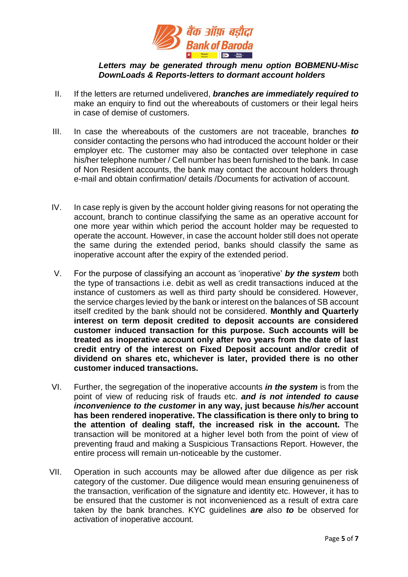

#### *Letters may be generated through menu option BOBMENU-Misc DownLoads & Reports-letters to dormant account holders*

- II. If the letters are returned undelivered, *branches are immediately required to* make an enquiry to find out the whereabouts of customers or their legal heirs in case of demise of customers.
- III. In case the whereabouts of the customers are not traceable, branches *to*  consider contacting the persons who had introduced the account holder or their employer etc. The customer may also be contacted over telephone in case his/her telephone number / Cell number has been furnished to the bank. In case of Non Resident accounts, the bank may contact the account holders through e-mail and obtain confirmation/ details /Documents for activation of account.
- IV. In case reply is given by the account holder giving reasons for not operating the account, branch to continue classifying the same as an operative account for one more year within which period the account holder may be requested to operate the account. However, in case the account holder still does not operate the same during the extended period, banks should classify the same as inoperative account after the expiry of the extended period.
- V. For the purpose of classifying an account as 'inoperative' *by the system* both the type of transactions i.e. debit as well as credit transactions induced at the instance of customers as well as third party should be considered. However, the service charges levied by the bank or interest on the balances of SB account itself credited by the bank should not be considered. **Monthly and Quarterly interest on term deposit credited to deposit accounts are considered customer induced transaction for this purpose. Such accounts will be treated as inoperative account only after two years from the date of last credit entry of the interest on Fixed Deposit account and/or credit of dividend on shares etc, whichever is later, provided there is no other customer induced transactions.**
- VI. Further, the segregation of the inoperative accounts *in the system* is from the point of view of reducing risk of frauds etc. *and is not intended to cause inconvenience to the customer* **in any way, just because** *his/her* **account has been rendered inoperative. The classification is there only to bring to the attention of dealing staff, the increased risk in the account.** The transaction will be monitored at a higher level both from the point of view of preventing fraud and making a Suspicious Transactions Report. However, the entire process will remain un-noticeable by the customer.
- VII. Operation in such accounts may be allowed after due diligence as per risk category of the customer. Due diligence would mean ensuring genuineness of the transaction, verification of the signature and identity etc. However, it has to be ensured that the customer is not inconvenienced as a result of extra care taken by the bank branches. KYC guidelines *are a*lso *to* be observed for activation of inoperative account.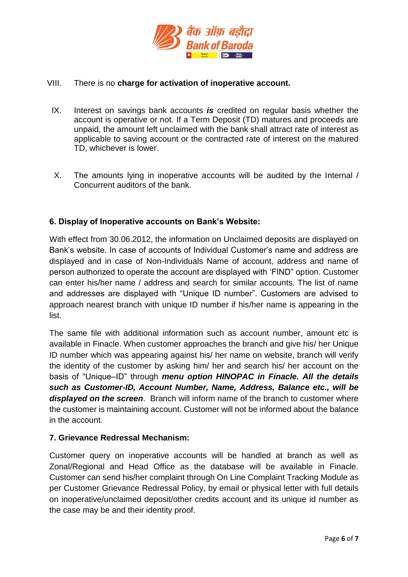

#### VIII. There is no **charge for activation of inoperative account.**

- IX. Interest on savings bank accounts *is* credited on regular basis whether the account is operative or not. If a Term Deposit (TD) matures and proceeds are unpaid, the amount left unclaimed with the bank shall attract rate of interest as applicable to saving account or the contracted rate of interest on the matured TD, whichever is lower.
- X. The amounts lying in inoperative accounts will be audited by the Internal / Concurrent auditors of the bank.

#### **6. Display of Inoperative accounts on Bank's Website:**

With effect from 30.06.2012, the information on Unclaimed deposits are displayed on Bank's website. In case of accounts of Individual Customer's name and address are displayed and in case of Non-Individuals Name of account, address and name of person authorized to operate the account are displayed with 'FIND" option. Customer can enter his/her name / address and search for similar accounts. The list of name and addresses are displayed with "Unique ID number". Customers are advised to approach nearest branch with unique ID number if his/her name is appearing in the list.

The same file with additional information such as account number, amount etc is available in Finacle. When customer approaches the branch and give his/ her Unique ID number which was appearing against his/ her name on website, branch will verify the identity of the customer by asking him/ her and search his/ her account on the basis of "Unique–ID" through *menu option HINOPAC in Finacle. All the details such as Customer-ID, Account Number, Name, Address, Balance etc., will be displayed on the screen*. Branch will inform name of the branch to customer where the customer is maintaining account. Customer will not be informed about the balance in the account.

#### **7. Grievance Redressal Mechanism:**

Customer query on inoperative accounts will be handled at branch as well as Zonal/Regional and Head Office as the database will be available in Finacle. Customer can send his/her complaint through On Line Complaint Tracking Module as per Customer Grievance Redressal Policy, by email or physical letter with full details on inoperative/unclaimed deposit/other credits account and its unique id number as the case may be and their identity proof.